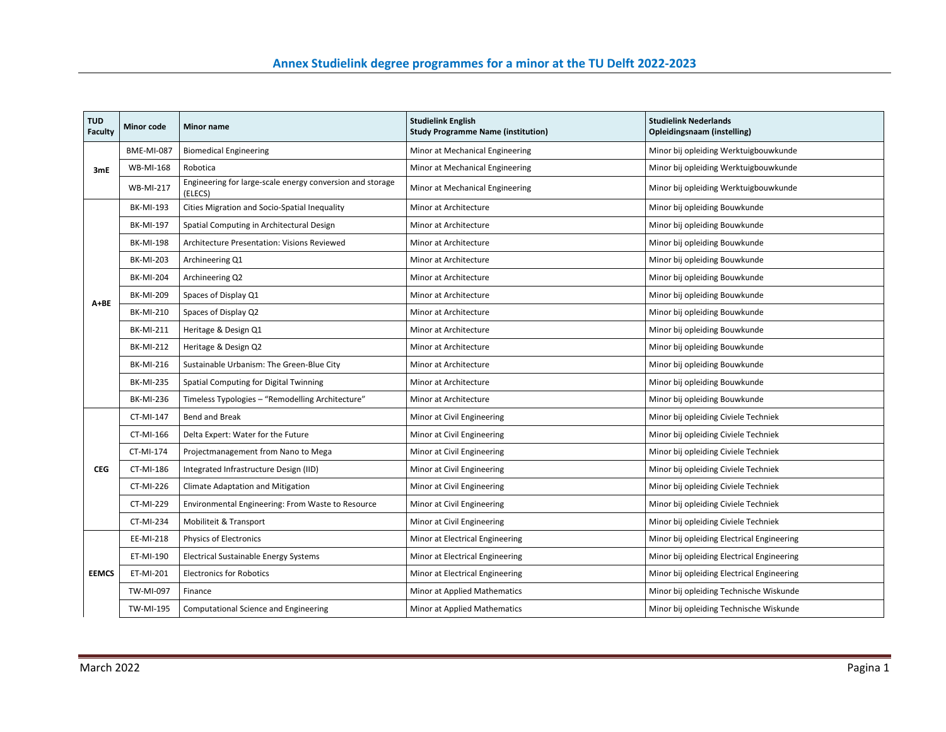| <b>TUD</b><br><b>Faculty</b> | <b>Minor code</b> | Minor name                                                           | <b>Studielink English</b><br><b>Study Programme Name (institution)</b> | <b>Studielink Nederlands</b><br>Opleidingsnaam (instelling) |
|------------------------------|-------------------|----------------------------------------------------------------------|------------------------------------------------------------------------|-------------------------------------------------------------|
| 3mE                          | <b>BME-MI-087</b> | <b>Biomedical Engineering</b>                                        | Minor at Mechanical Engineering                                        | Minor bij opleiding Werktuigbouwkunde                       |
|                              | <b>WB-MI-168</b>  | Robotica                                                             | Minor at Mechanical Engineering                                        | Minor bij opleiding Werktuigbouwkunde                       |
|                              | <b>WB-MI-217</b>  | Engineering for large-scale energy conversion and storage<br>(ELECS) | Minor at Mechanical Engineering                                        | Minor bij opleiding Werktuigbouwkunde                       |
|                              | <b>BK-MI-193</b>  | Cities Migration and Socio-Spatial Inequality                        | Minor at Architecture                                                  | Minor bij opleiding Bouwkunde                               |
|                              | <b>BK-MI-197</b>  | Spatial Computing in Architectural Design                            | Minor at Architecture                                                  | Minor bij opleiding Bouwkunde                               |
|                              | <b>BK-MI-198</b>  | Architecture Presentation: Visions Reviewed                          | Minor at Architecture                                                  | Minor bij opleiding Bouwkunde                               |
|                              | <b>BK-MI-203</b>  | Archineering Q1                                                      | Minor at Architecture                                                  | Minor bij opleiding Bouwkunde                               |
|                              | <b>BK-MI-204</b>  | Archineering Q2                                                      | Minor at Architecture                                                  | Minor bij opleiding Bouwkunde                               |
|                              | <b>BK-MI-209</b>  | Spaces of Display Q1                                                 | Minor at Architecture                                                  | Minor bij opleiding Bouwkunde                               |
| A+BE                         | BK-MI-210         | Spaces of Display Q2                                                 | Minor at Architecture                                                  | Minor bij opleiding Bouwkunde                               |
|                              | <b>BK-MI-211</b>  | Heritage & Design Q1                                                 | Minor at Architecture                                                  | Minor bij opleiding Bouwkunde                               |
|                              | <b>BK-MI-212</b>  | Heritage & Design Q2                                                 | Minor at Architecture                                                  | Minor bij opleiding Bouwkunde                               |
|                              | <b>BK-MI-216</b>  | Sustainable Urbanism: The Green-Blue City                            | Minor at Architecture                                                  | Minor bij opleiding Bouwkunde                               |
|                              | <b>BK-MI-235</b>  | Spatial Computing for Digital Twinning                               | Minor at Architecture                                                  | Minor bij opleiding Bouwkunde                               |
|                              | <b>BK-MI-236</b>  | Timeless Typologies - "Remodelling Architecture"                     | Minor at Architecture                                                  | Minor bij opleiding Bouwkunde                               |
|                              | CT-MI-147         | Bend and Break                                                       | Minor at Civil Engineering                                             | Minor bij opleiding Civiele Techniek                        |
|                              | CT-MI-166         | Delta Expert: Water for the Future                                   | Minor at Civil Engineering                                             | Minor bij opleiding Civiele Techniek                        |
|                              | CT-MI-174         | Projectmanagement from Nano to Mega                                  | Minor at Civil Engineering                                             | Minor bij opleiding Civiele Techniek                        |
| <b>CEG</b>                   | CT-MI-186         | Integrated Infrastructure Design (IID)                               | Minor at Civil Engineering                                             | Minor bij opleiding Civiele Techniek                        |
|                              | CT-MI-226         | Climate Adaptation and Mitigation                                    | Minor at Civil Engineering                                             | Minor bij opleiding Civiele Techniek                        |
|                              | CT-MI-229         | Environmental Engineering: From Waste to Resource                    | Minor at Civil Engineering                                             | Minor bij opleiding Civiele Techniek                        |
|                              | CT-MI-234         | Mobiliteit & Transport                                               | Minor at Civil Engineering                                             | Minor bij opleiding Civiele Techniek                        |
| <b>EEMCS</b>                 | EE-MI-218         | Physics of Electronics                                               | Minor at Electrical Engineering                                        | Minor bij opleiding Electrical Engineering                  |
|                              | ET-MI-190         | Electrical Sustainable Energy Systems                                | Minor at Electrical Engineering                                        | Minor bij opleiding Electrical Engineering                  |
|                              | ET-MI-201         | <b>Electronics for Robotics</b>                                      | Minor at Electrical Engineering                                        | Minor bij opleiding Electrical Engineering                  |
|                              | TW-MI-097         | Finance                                                              | Minor at Applied Mathematics                                           | Minor bij opleiding Technische Wiskunde                     |
|                              | TW-MI-195         | Computational Science and Engineering                                | Minor at Applied Mathematics                                           | Minor bij opleiding Technische Wiskunde                     |